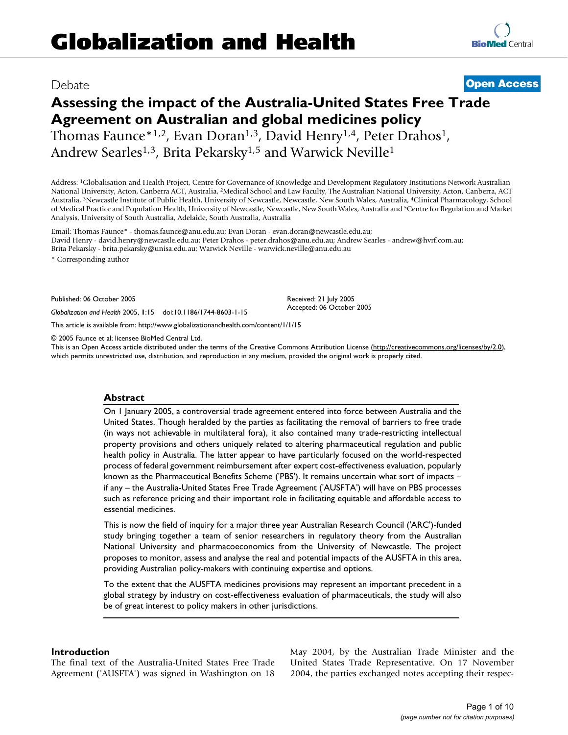# **Assessing the impact of the Australia-United States Free Trade Agreement on Australian and global medicines policy** Thomas Faunce\*<sup>1,2</sup>, Evan Doran<sup>1,3</sup>, David Henry<sup>1,4</sup>, Peter Drahos<sup>1</sup>, Andrew Searles<sup>1,3</sup>, Brita Pekarsky<sup>1,5</sup> and Warwick Neville<sup>1</sup>

Address: 1Globalisation and Health Project, Centre for Governance of Knowledge and Development Regulatory Institutions Network Australian National University, Acton, Canberra ACT, Australia, 2Medical School and Law Faculty, The Australian National University, Acton, Canberra, ACT Australia, 3Newcastle Institute of Public Health, University of Newcastle, Newcastle, New South Wales, Australia, 4Clinical Pharmacology, School of Medical Practice and Population Health, University of Newcastle, Newcastle, New South Wales, Australia and 5Centre for Regulation and Market Analysis, University of South Australia, Adelaide, South Australia, Australia

Email: Thomas Faunce\* - thomas.faunce@anu.edu.au; Evan Doran - evan.doran@newcastle.edu.au; David Henry - david.henry@newcastle.edu.au; Peter Drahos - peter.drahos@anu.edu.au; Andrew Searles - andrew@hvrf.com.au; Brita Pekarsky - brita.pekarsky@unisa.edu.au; Warwick Neville - warwick.neville@anu.edu.au

\* Corresponding author

Published: 06 October 2005

*Globalization and Health* 2005, **1**:15 doi:10.1186/1744-8603-1-15

[This article is available from: http://www.globalizationandhealth.com/content/1/1/15](http://www.globalizationandhealth.com/content/1/1/15)

© 2005 Faunce et al; licensee BioMed Central Ltd.

This is an Open Access article distributed under the terms of the Creative Commons Attribution License [\(http://creativecommons.org/licenses/by/2.0\)](http://creativecommons.org/licenses/by/2.0), which permits unrestricted use, distribution, and reproduction in any medium, provided the original work is properly cited.

#### **Abstract**

On 1 January 2005, a controversial trade agreement entered into force between Australia and the United States. Though heralded by the parties as facilitating the removal of barriers to free trade (in ways not achievable in multilateral fora), it also contained many trade-restricting intellectual property provisions and others uniquely related to altering pharmaceutical regulation and public health policy in Australia. The latter appear to have particularly focused on the world-respected process of federal government reimbursement after expert cost-effectiveness evaluation, popularly known as the Pharmaceutical Benefits Scheme ('PBS'). It remains uncertain what sort of impacts – if any – the Australia-United States Free Trade Agreement ('AUSFTA') will have on PBS processes such as reference pricing and their important role in facilitating equitable and affordable access to essential medicines.

This is now the field of inquiry for a major three year Australian Research Council ('ARC')-funded study bringing together a team of senior researchers in regulatory theory from the Australian National University and pharmacoeconomics from the University of Newcastle. The project proposes to monitor, assess and analyse the real and potential impacts of the AUSFTA in this area, providing Australian policy-makers with continuing expertise and options.

To the extent that the AUSFTA medicines provisions may represent an important precedent in a global strategy by industry on cost-effectiveness evaluation of pharmaceuticals, the study will also be of great interest to policy makers in other jurisdictions.

#### **Introduction**

The final text of the Australia-United States Free Trade Agreement ('AUSFTA') was signed in Washington on 18 May 2004, by the Australian Trade Minister and the United States Trade Representative. On 17 November 2004, the parties exchanged notes accepting their respec-

## Debate **[Open Access](http://www.biomedcentral.com/info/about/charter/)**

Received: 21 July 2005 Accepted: 06 October 2005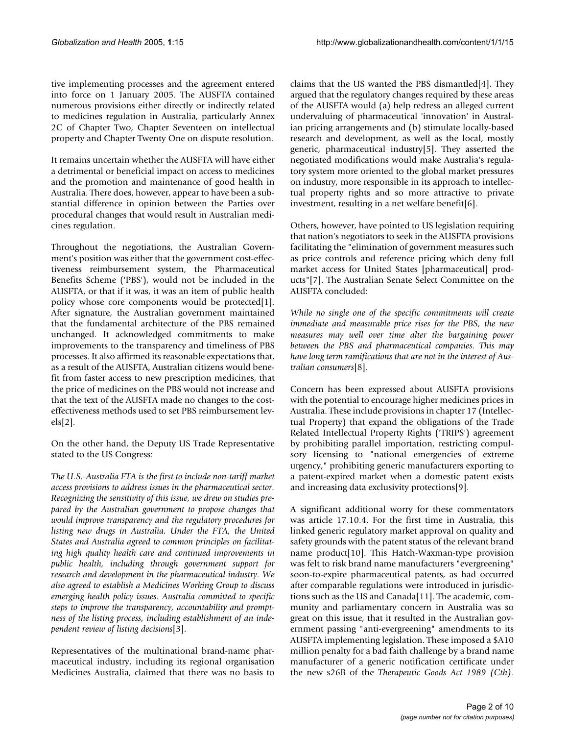tive implementing processes and the agreement entered into force on 1 January 2005. The AUSFTA contained numerous provisions either directly or indirectly related to medicines regulation in Australia, particularly Annex 2C of Chapter Two, Chapter Seventeen on intellectual property and Chapter Twenty One on dispute resolution.

It remains uncertain whether the AUSFTA will have either a detrimental or beneficial impact on access to medicines and the promotion and maintenance of good health in Australia. There does, however, appear to have been a substantial difference in opinion between the Parties over procedural changes that would result in Australian medicines regulation.

Throughout the negotiations, the Australian Government's position was either that the government cost-effectiveness reimbursement system, the Pharmaceutical Benefits Scheme ('PBS'), would not be included in the AUSFTA, or that if it was, it was an item of public health policy whose core components would be protected[1]. After signature, the Australian government maintained that the fundamental architecture of the PBS remained unchanged. It acknowledged commitments to make improvements to the transparency and timeliness of PBS processes. It also affirmed its reasonable expectations that, as a result of the AUSFTA, Australian citizens would benefit from faster access to new prescription medicines, that the price of medicines on the PBS would not increase and that the text of the AUSFTA made no changes to the costeffectiveness methods used to set PBS reimbursement levels[2].

On the other hand, the Deputy US Trade Representative stated to the US Congress:

*The U.S.-Australia FTA is the first to include non-tariff market access provisions to address issues in the pharmaceutical sector. Recognizing the sensitivity of this issue, we drew on studies prepared by the Australian government to propose changes that would improve transparency and the regulatory procedures for listing new drugs in Australia. Under the FTA, the United States and Australia agreed to common principles on facilitating high quality health care and continued improvements in public health, including through government support for research and development in the pharmaceutical industry. We also agreed to establish a Medicines Working Group to discuss emerging health policy issues. Australia committed to specific steps to improve the transparency, accountability and promptness of the listing process, including establishment of an independent review of listing decisions*[3].

Representatives of the multinational brand-name pharmaceutical industry, including its regional organisation Medicines Australia, claimed that there was no basis to

claims that the US wanted the PBS dismantled[4]. They argued that the regulatory changes required by these areas of the AUSFTA would (a) help redress an alleged current undervaluing of pharmaceutical 'innovation' in Australian pricing arrangements and (b) stimulate locally-based research and development, as well as the local, mostly generic, pharmaceutical industry[5]. They asserted the negotiated modifications would make Australia's regulatory system more oriented to the global market pressures on industry, more responsible in its approach to intellectual property rights and so more attractive to private investment, resulting in a net welfare benefit[6].

Others, however, have pointed to US legislation requiring that nation's negotiators to seek in the AUSFTA provisions facilitating the "elimination of government measures such as price controls and reference pricing which deny full market access for United States [pharmaceutical] products"[7]. The Australian Senate Select Committee on the AUSFTA concluded:

*While no single one of the specific commitments will create immediate and measurable price rises for the PBS, the new measures may well over time alter the bargaining power between the PBS and pharmaceutical companies. This may have long term ramifications that are not in the interest of Australian consumers*[8].

Concern has been expressed about AUSFTA provisions with the potential to encourage higher medicines prices in Australia. These include provisions in chapter 17 (Intellectual Property) that expand the obligations of the Trade Related Intellectual Property Rights ('TRIPS') agreement by prohibiting parallel importation, restricting compulsory licensing to "national emergencies of extreme urgency," prohibiting generic manufacturers exporting to a patent-expired market when a domestic patent exists and increasing data exclusivity protections[9].

A significant additional worry for these commentators was article 17.10.4. For the first time in Australia, this linked generic regulatory market approval on quality and safety grounds with the patent status of the relevant brand name product[10]. This Hatch-Waxman-type provision was felt to risk brand name manufacturers "evergreening" soon-to-expire pharmaceutical patents, as had occurred after comparable regulations were introduced in jurisdictions such as the US and Canada[11]. The academic, community and parliamentary concern in Australia was so great on this issue, that it resulted in the Australian government passing "anti-evergreening" amendments to its AUSFTA implementing legislation. These imposed a \$A10 million penalty for a bad faith challenge by a brand name manufacturer of a generic notification certificate under the new s26B of the *Therapeutic Goods Act 1989 (Cth).*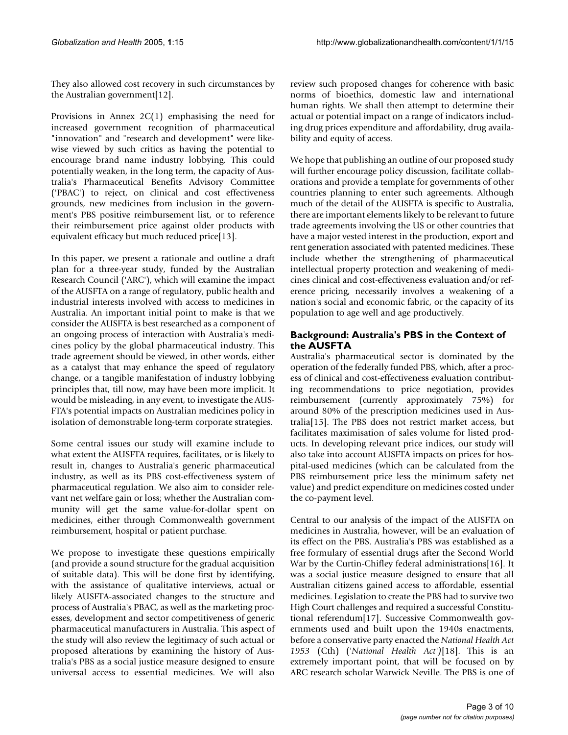They also allowed cost recovery in such circumstances by the Australian government[12].

Provisions in Annex 2C(1) emphasising the need for increased government recognition of pharmaceutical "innovation" and "research and development" were likewise viewed by such critics as having the potential to encourage brand name industry lobbying. This could potentially weaken, in the long term, the capacity of Australia's Pharmaceutical Benefits Advisory Committee ('PBAC') to reject, on clinical and cost effectiveness grounds, new medicines from inclusion in the government's PBS positive reimbursement list, or to reference their reimbursement price against older products with equivalent efficacy but much reduced price[13].

In this paper, we present a rationale and outline a draft plan for a three-year study, funded by the Australian Research Council ('ARC'), which will examine the impact of the AUSFTA on a range of regulatory, public health and industrial interests involved with access to medicines in Australia. An important initial point to make is that we consider the AUSFTA is best researched as a component of an ongoing process of interaction with Australia's medicines policy by the global pharmaceutical industry. This trade agreement should be viewed, in other words, either as a catalyst that may enhance the speed of regulatory change, or a tangible manifestation of industry lobbying principles that, till now, may have been more implicit. It would be misleading, in any event, to investigate the AUS-FTA's potential impacts on Australian medicines policy in isolation of demonstrable long-term corporate strategies.

Some central issues our study will examine include to what extent the AUSFTA requires, facilitates, or is likely to result in, changes to Australia's generic pharmaceutical industry, as well as its PBS cost-effectiveness system of pharmaceutical regulation. We also aim to consider relevant net welfare gain or loss; whether the Australian community will get the same value-for-dollar spent on medicines, either through Commonwealth government reimbursement, hospital or patient purchase.

We propose to investigate these questions empirically (and provide a sound structure for the gradual acquisition of suitable data). This will be done first by identifying, with the assistance of qualitative interviews, actual or likely AUSFTA-associated changes to the structure and process of Australia's PBAC, as well as the marketing processes, development and sector competitiveness of generic pharmaceutical manufacturers in Australia. This aspect of the study will also review the legitimacy of such actual or proposed alterations by examining the history of Australia's PBS as a social justice measure designed to ensure universal access to essential medicines. We will also

review such proposed changes for coherence with basic norms of bioethics, domestic law and international human rights. We shall then attempt to determine their actual or potential impact on a range of indicators including drug prices expenditure and affordability, drug availability and equity of access.

We hope that publishing an outline of our proposed study will further encourage policy discussion, facilitate collaborations and provide a template for governments of other countries planning to enter such agreements. Although much of the detail of the AUSFTA is specific to Australia, there are important elements likely to be relevant to future trade agreements involving the US or other countries that have a major vested interest in the production, export and rent generation associated with patented medicines. These include whether the strengthening of pharmaceutical intellectual property protection and weakening of medicines clinical and cost-effectiveness evaluation and/or reference pricing, necessarily involves a weakening of a nation's social and economic fabric, or the capacity of its population to age well and age productively.

### **Background: Australia's PBS in the Context of the AUSFTA**

Australia's pharmaceutical sector is dominated by the operation of the federally funded PBS, which, after a process of clinical and cost-effectiveness evaluation contributing recommendations to price negotiation, provides reimbursement (currently approximately 75%) for around 80% of the prescription medicines used in Australia[15]. The PBS does not restrict market access, but facilitates maximisation of sales volume for listed products. In developing relevant price indices, our study will also take into account AUSFTA impacts on prices for hospital-used medicines (which can be calculated from the PBS reimbursement price less the minimum safety net value) and predict expenditure on medicines costed under the co-payment level.

Central to our analysis of the impact of the AUSFTA on medicines in Australia, however, will be an evaluation of its effect on the PBS. Australia's PBS was established as a free formulary of essential drugs after the Second World War by the Curtin-Chifley federal administrations[16]. It was a social justice measure designed to ensure that all Australian citizens gained access to affordable, essential medicines. Legislation to create the PBS had to survive two High Court challenges and required a successful Constitutional referendum[17]. Successive Commonwealth governments used and built upon the 1940s enactments, before a conservative party enacted the *National Health Act 1953* (Cth) ('*National Health Act')*[18]. This is an extremely important point, that will be focused on by ARC research scholar Warwick Neville. The PBS is one of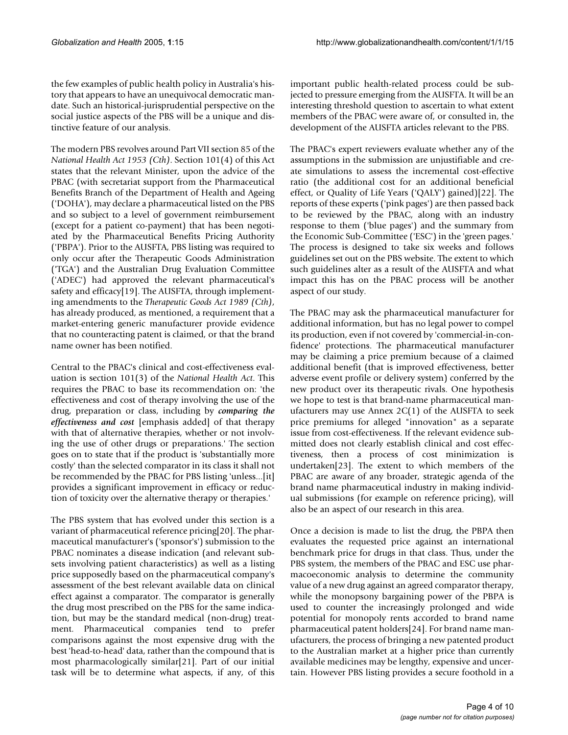the few examples of public health policy in Australia's history that appears to have an unequivocal democratic mandate. Such an historical-jurisprudential perspective on the social justice aspects of the PBS will be a unique and distinctive feature of our analysis.

The modern PBS revolves around Part VII section 85 of the *National Health Act 1953 (Cth)*. Section 101(4) of this Act states that the relevant Minister, upon the advice of the PBAC (with secretariat support from the Pharmaceutical Benefits Branch of the Department of Health and Ageing ('DOHA'), may declare a pharmaceutical listed on the PBS and so subject to a level of government reimbursement (except for a patient co-payment) that has been negotiated by the Pharmaceutical Benefits Pricing Authority ('PBPA'). Prior to the AUSFTA, PBS listing was required to only occur after the Therapeutic Goods Administration ('TGA') and the Australian Drug Evaluation Committee ('ADEC') had approved the relevant pharmaceutical's safety and efficacy[19]. The AUSFTA, through implementing amendments to the *Therapeutic Goods Act 1989 (Cth)*, has already produced, as mentioned, a requirement that a market-entering generic manufacturer provide evidence that no counteracting patent is claimed, or that the brand name owner has been notified.

Central to the PBAC's clinical and cost-effectiveness evaluation is section 101(3) of the *National Health Act*. This requires the PBAC to base its recommendation on: 'the effectiveness and cost of therapy involving the use of the drug, preparation or class, including by *comparing the effectiveness and cost* [emphasis added] of that therapy with that of alternative therapies, whether or not involving the use of other drugs or preparations.' The section goes on to state that if the product is 'substantially more costly' than the selected comparator in its class it shall not be recommended by the PBAC for PBS listing 'unless...[it] provides a significant improvement in efficacy or reduction of toxicity over the alternative therapy or therapies.'

The PBS system that has evolved under this section is a variant of pharmaceutical reference pricing[20]. The pharmaceutical manufacturer's ('sponsor's') submission to the PBAC nominates a disease indication (and relevant subsets involving patient characteristics) as well as a listing price supposedly based on the pharmaceutical company's assessment of the best relevant available data on clinical effect against a comparator. The comparator is generally the drug most prescribed on the PBS for the same indication, but may be the standard medical (non-drug) treatment. Pharmaceutical companies tend to prefer comparisons against the most expensive drug with the best 'head-to-head' data, rather than the compound that is most pharmacologically similar[21]. Part of our initial task will be to determine what aspects, if any, of this

important public health-related process could be subjected to pressure emerging from the AUSFTA. It will be an interesting threshold question to ascertain to what extent members of the PBAC were aware of, or consulted in, the development of the AUSFTA articles relevant to the PBS.

The PBAC's expert reviewers evaluate whether any of the assumptions in the submission are unjustifiable and create simulations to assess the incremental cost-effective ratio (the additional cost for an additional beneficial effect, or Quality of Life Years ('QALY') gained)[22]. The reports of these experts ('pink pages') are then passed back to be reviewed by the PBAC, along with an industry response to them ('blue pages') and the summary from the Economic Sub-Committee ('ESC') in the 'green pages.' The process is designed to take six weeks and follows guidelines set out on the PBS website. The extent to which such guidelines alter as a result of the AUSFTA and what impact this has on the PBAC process will be another aspect of our study.

The PBAC may ask the pharmaceutical manufacturer for additional information, but has no legal power to compel its production, even if not covered by 'commercial-in-confidence' protections. The pharmaceutical manufacturer may be claiming a price premium because of a claimed additional benefit (that is improved effectiveness, better adverse event profile or delivery system) conferred by the new product over its therapeutic rivals. One hypothesis we hope to test is that brand-name pharmaceutical manufacturers may use Annex  $2C(1)$  of the AUSFTA to seek price premiums for alleged "innovation" as a separate issue from cost-effectiveness. If the relevant evidence submitted does not clearly establish clinical and cost effectiveness, then a process of cost minimization is undertaken[23]. The extent to which members of the PBAC are aware of any broader, strategic agenda of the brand name pharmaceutical industry in making individual submissions (for example on reference pricing), will also be an aspect of our research in this area.

Once a decision is made to list the drug, the PBPA then evaluates the requested price against an international benchmark price for drugs in that class. Thus, under the PBS system, the members of the PBAC and ESC use pharmacoeconomic analysis to determine the community value of a new drug against an agreed comparator therapy, while the monopsony bargaining power of the PBPA is used to counter the increasingly prolonged and wide potential for monopoly rents accorded to brand name pharmaceutical patent holders[24]. For brand name manufacturers, the process of bringing a new patented product to the Australian market at a higher price than currently available medicines may be lengthy, expensive and uncertain. However PBS listing provides a secure foothold in a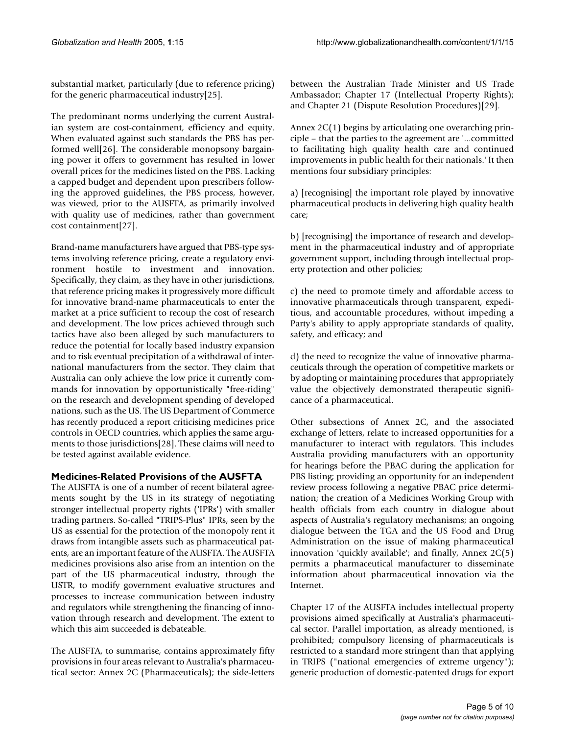substantial market, particularly (due to reference pricing) for the generic pharmaceutical industry[25].

The predominant norms underlying the current Australian system are cost-containment, efficiency and equity. When evaluated against such standards the PBS has performed well[26]. The considerable monopsony bargaining power it offers to government has resulted in lower overall prices for the medicines listed on the PBS. Lacking a capped budget and dependent upon prescribers following the approved guidelines, the PBS process, however, was viewed, prior to the AUSFTA, as primarily involved with quality use of medicines, rather than government cost containment[27].

Brand-name manufacturers have argued that PBS-type systems involving reference pricing, create a regulatory environment hostile to investment and innovation. Specifically, they claim, as they have in other jurisdictions, that reference pricing makes it progressively more difficult for innovative brand-name pharmaceuticals to enter the market at a price sufficient to recoup the cost of research and development. The low prices achieved through such tactics have also been alleged by such manufacturers to reduce the potential for locally based industry expansion and to risk eventual precipitation of a withdrawal of international manufacturers from the sector. They claim that Australia can only achieve the low price it currently commands for innovation by opportunistically "free-riding" on the research and development spending of developed nations, such as the US. The US Department of Commerce has recently produced a report criticising medicines price controls in OECD countries, which applies the same arguments to those jurisdictions[28]. These claims will need to be tested against available evidence.

### **Medicines-Related Provisions of the AUSFTA**

The AUSFTA is one of a number of recent bilateral agreements sought by the US in its strategy of negotiating stronger intellectual property rights ('IPRs') with smaller trading partners. So-called "TRIPS-Plus" IPRs, seen by the US as essential for the protection of the monopoly rent it draws from intangible assets such as pharmaceutical patents, are an important feature of the AUSFTA. The AUSFTA medicines provisions also arise from an intention on the part of the US pharmaceutical industry, through the USTR, to modify government evaluative structures and processes to increase communication between industry and regulators while strengthening the financing of innovation through research and development. The extent to which this aim succeeded is debateable.

The AUSFTA, to summarise, contains approximately fifty provisions in four areas relevant to Australia's pharmaceutical sector: Annex 2C (Pharmaceuticals); the side-letters

between the Australian Trade Minister and US Trade Ambassador; Chapter 17 (Intellectual Property Rights); and Chapter 21 (Dispute Resolution Procedures)[29].

Annex 2C(1) begins by articulating one overarching principle – that the parties to the agreement are '...committed to facilitating high quality health care and continued improvements in public health for their nationals.' It then mentions four subsidiary principles:

a) [recognising] the important role played by innovative pharmaceutical products in delivering high quality health care;

b) [recognising] the importance of research and development in the pharmaceutical industry and of appropriate government support, including through intellectual property protection and other policies;

c) the need to promote timely and affordable access to innovative pharmaceuticals through transparent, expeditious, and accountable procedures, without impeding a Party's ability to apply appropriate standards of quality, safety, and efficacy; and

d) the need to recognize the value of innovative pharmaceuticals through the operation of competitive markets or by adopting or maintaining procedures that appropriately value the objectively demonstrated therapeutic significance of a pharmaceutical.

Other subsections of Annex 2C, and the associated exchange of letters, relate to increased opportunities for a manufacturer to interact with regulators. This includes Australia providing manufacturers with an opportunity for hearings before the PBAC during the application for PBS listing; providing an opportunity for an independent review process following a negative PBAC price determination; the creation of a Medicines Working Group with health officials from each country in dialogue about aspects of Australia's regulatory mechanisms; an ongoing dialogue between the TGA and the US Food and Drug Administration on the issue of making pharmaceutical innovation 'quickly available'; and finally, Annex 2C(5) permits a pharmaceutical manufacturer to disseminate information about pharmaceutical innovation via the Internet.

Chapter 17 of the AUSFTA includes intellectual property provisions aimed specifically at Australia's pharmaceutical sector. Parallel importation, as already mentioned, is prohibited; compulsory licensing of pharmaceuticals is restricted to a standard more stringent than that applying in TRIPS ("national emergencies of extreme urgency"); generic production of domestic-patented drugs for export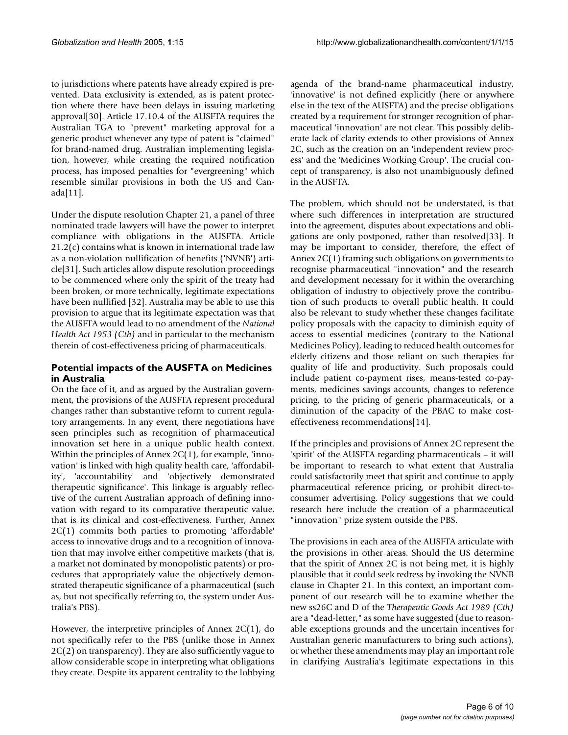to jurisdictions where patents have already expired is prevented. Data exclusivity is extended, as is patent protection where there have been delays in issuing marketing approval[30]. Article 17.10.4 of the AUSFTA requires the Australian TGA to "prevent" marketing approval for a generic product whenever any type of patent is "claimed" for brand-named drug. Australian implementing legislation, however, while creating the required notification process, has imposed penalties for "evergreening" which resemble similar provisions in both the US and Canada[11].

Under the dispute resolution Chapter 21, a panel of three nominated trade lawyers will have the power to interpret compliance with obligations in the AUSFTA. Article  $21.2(c)$  contains what is known in international trade law as a non-violation nullification of benefits ('NVNB') article[31]. Such articles allow dispute resolution proceedings to be commenced where only the spirit of the treaty had been broken, or more technically, legitimate expectations have been nullified [32]. Australia may be able to use this provision to argue that its legitimate expectation was that the AUSFTA would lead to no amendment of the *National Health Act 1953 (Cth)* and in particular to the mechanism therein of cost-effectiveness pricing of pharmaceuticals.

#### **Potential impacts of the AUSFTA on Medicines in Australia**

On the face of it, and as argued by the Australian government, the provisions of the AUSFTA represent procedural changes rather than substantive reform to current regulatory arrangements. In any event, there negotiations have seen principles such as recognition of pharmaceutical innovation set here in a unique public health context. Within the principles of Annex  $2C(1)$ , for example, 'innovation' is linked with high quality health care, 'affordability', 'accountability' and 'objectively demonstrated therapeutic significance'. This linkage is arguably reflective of the current Australian approach of defining innovation with regard to its comparative therapeutic value, that is its clinical and cost-effectiveness. Further, Annex 2C(1) commits both parties to promoting 'affordable' access to innovative drugs and to a recognition of innovation that may involve either competitive markets (that is, a market not dominated by monopolistic patents) or procedures that appropriately value the objectively demonstrated therapeutic significance of a pharmaceutical (such as, but not specifically referring to, the system under Australia's PBS).

However, the interpretive principles of Annex 2C(1), do not specifically refer to the PBS (unlike those in Annex 2C(2) on transparency). They are also sufficiently vague to allow considerable scope in interpreting what obligations they create. Despite its apparent centrality to the lobbying agenda of the brand-name pharmaceutical industry, 'innovative' is not defined explicitly (here or anywhere else in the text of the AUSFTA) and the precise obligations created by a requirement for stronger recognition of pharmaceutical 'innovation' are not clear. This possibly deliberate lack of clarity extends to other provisions of Annex 2C, such as the creation on an 'independent review process' and the 'Medicines Working Group'. The crucial concept of transparency, is also not unambiguously defined in the AUSFTA.

The problem, which should not be understated, is that where such differences in interpretation are structured into the agreement, disputes about expectations and obligations are only postponed, rather than resolved[33]. It may be important to consider, therefore, the effect of Annex 2C(1) framing such obligations on governments to recognise pharmaceutical "innovation" and the research and development necessary for it within the overarching obligation of industry to objectively prove the contribution of such products to overall public health. It could also be relevant to study whether these changes facilitate policy proposals with the capacity to diminish equity of access to essential medicines (contrary to the National Medicines Policy), leading to reduced health outcomes for elderly citizens and those reliant on such therapies for quality of life and productivity. Such proposals could include patient co-payment rises, means-tested co-payments, medicines savings accounts, changes to reference pricing, to the pricing of generic pharmaceuticals, or a diminution of the capacity of the PBAC to make costeffectiveness recommendations[14].

If the principles and provisions of Annex 2C represent the 'spirit' of the AUSFTA regarding pharmaceuticals – it will be important to research to what extent that Australia could satisfactorily meet that spirit and continue to apply pharmaceutical reference pricing, or prohibit direct-toconsumer advertising. Policy suggestions that we could research here include the creation of a pharmaceutical "innovation" prize system outside the PBS.

The provisions in each area of the AUSFTA articulate with the provisions in other areas. Should the US determine that the spirit of Annex 2C is not being met, it is highly plausible that it could seek redress by invoking the NVNB clause in Chapter 21. In this context, an important component of our research will be to examine whether the new ss26C and D of the *Therapeutic Goods Act 1989 (Cth)* are a "dead-letter," as some have suggested (due to reasonable exceptions grounds and the uncertain incentives for Australian generic manufacturers to bring such actions), or whether these amendments may play an important role in clarifying Australia's legitimate expectations in this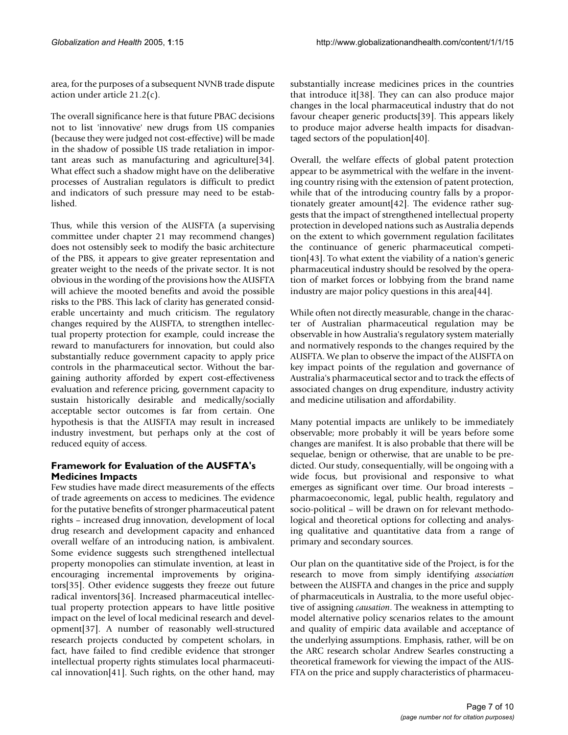area, for the purposes of a subsequent NVNB trade dispute action under article 21.2(c).

The overall significance here is that future PBAC decisions not to list 'innovative' new drugs from US companies (because they were judged not cost-effective) will be made in the shadow of possible US trade retaliation in important areas such as manufacturing and agriculture[34]. What effect such a shadow might have on the deliberative processes of Australian regulators is difficult to predict and indicators of such pressure may need to be established.

Thus, while this version of the AUSFTA (a supervising committee under chapter 21 may recommend changes) does not ostensibly seek to modify the basic architecture of the PBS, it appears to give greater representation and greater weight to the needs of the private sector. It is not obvious in the wording of the provisions how the AUSFTA will achieve the mooted benefits and avoid the possible risks to the PBS. This lack of clarity has generated considerable uncertainty and much criticism. The regulatory changes required by the AUSFTA, to strengthen intellectual property protection for example, could increase the reward to manufacturers for innovation, but could also substantially reduce government capacity to apply price controls in the pharmaceutical sector. Without the bargaining authority afforded by expert cost-effectiveness evaluation and reference pricing, government capacity to sustain historically desirable and medically/socially acceptable sector outcomes is far from certain. One hypothesis is that the AUSFTA may result in increased industry investment, but perhaps only at the cost of reduced equity of access.

#### **Framework for Evaluation of the AUSFTA's Medicines Impacts**

Few studies have made direct measurements of the effects of trade agreements on access to medicines. The evidence for the putative benefits of stronger pharmaceutical patent rights – increased drug innovation, development of local drug research and development capacity and enhanced overall welfare of an introducing nation, is ambivalent. Some evidence suggests such strengthened intellectual property monopolies can stimulate invention, at least in encouraging incremental improvements by originators[35]. Other evidence suggests they freeze out future radical inventors[36]. Increased pharmaceutical intellectual property protection appears to have little positive impact on the level of local medicinal research and development[37]. A number of reasonably well-structured research projects conducted by competent scholars, in fact, have failed to find credible evidence that stronger intellectual property rights stimulates local pharmaceutical innovation[41]. Such rights, on the other hand, may

substantially increase medicines prices in the countries that introduce it[38]. They can can also produce major changes in the local pharmaceutical industry that do not favour cheaper generic products[39]. This appears likely to produce major adverse health impacts for disadvantaged sectors of the population[40].

Overall, the welfare effects of global patent protection appear to be asymmetrical with the welfare in the inventing country rising with the extension of patent protection, while that of the introducing country falls by a proportionately greater amount[42]. The evidence rather suggests that the impact of strengthened intellectual property protection in developed nations such as Australia depends on the extent to which government regulation facilitates the continuance of generic pharmaceutical competition[43]. To what extent the viability of a nation's generic pharmaceutical industry should be resolved by the operation of market forces or lobbying from the brand name industry are major policy questions in this area[44].

While often not directly measurable, change in the character of Australian pharmaceutical regulation may be observable in how Australia's regulatory system materially and normatively responds to the changes required by the AUSFTA. We plan to observe the impact of the AUSFTA on key impact points of the regulation and governance of Australia's pharmaceutical sector and to track the effects of associated changes on drug expenditure, industry activity and medicine utilisation and affordability.

Many potential impacts are unlikely to be immediately observable; more probably it will be years before some changes are manifest. It is also probable that there will be sequelae, benign or otherwise, that are unable to be predicted. Our study, consequentially, will be ongoing with a wide focus, but provisional and responsive to what emerges as significant over time. Our broad interests – pharmacoeconomic, legal, public health, regulatory and socio-political – will be drawn on for relevant methodological and theoretical options for collecting and analysing qualitative and quantitative data from a range of primary and secondary sources.

Our plan on the quantitative side of the Project, is for the research to move from simply identifying *association* between the AUSFTA and changes in the price and supply of pharmaceuticals in Australia, to the more useful objective of assigning *causation*. The weakness in attempting to model alternative policy scenarios relates to the amount and quality of empiric data available and acceptance of the underlying assumptions. Emphasis, rather, will be on the ARC research scholar Andrew Searles constructing a theoretical framework for viewing the impact of the AUS-FTA on the price and supply characteristics of pharmaceu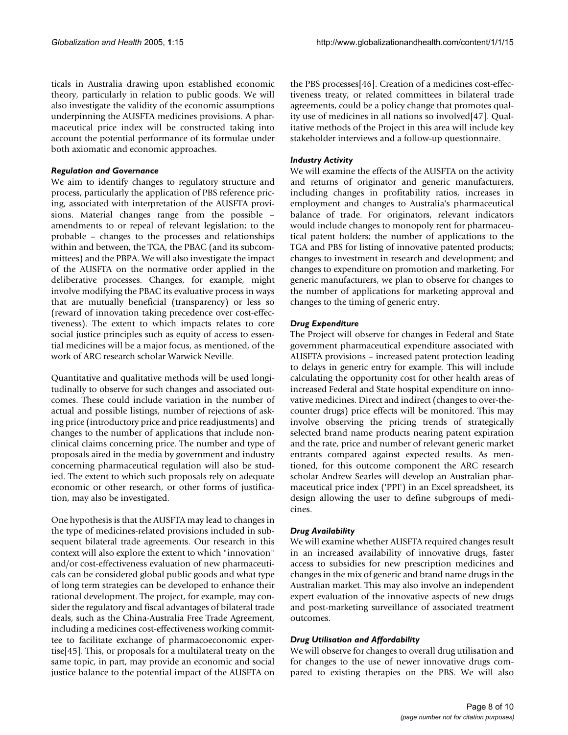ticals in Australia drawing upon established economic theory, particularly in relation to public goods. We will also investigate the validity of the economic assumptions underpinning the AUSFTA medicines provisions. A pharmaceutical price index will be constructed taking into account the potential performance of its formulae under both axiomatic and economic approaches.

#### *Regulation and Governance*

We aim to identify changes to regulatory structure and process, particularly the application of PBS reference pricing, associated with interpretation of the AUSFTA provisions. Material changes range from the possible – amendments to or repeal of relevant legislation; to the probable – changes to the processes and relationships within and between, the TGA, the PBAC (and its subcommittees) and the PBPA. We will also investigate the impact of the AUSFTA on the normative order applied in the deliberative processes. Changes, for example, might involve modifying the PBAC its evaluative process in ways that are mutually beneficial (transparency) or less so (reward of innovation taking precedence over cost-effectiveness). The extent to which impacts relates to core social justice principles such as equity of access to essential medicines will be a major focus, as mentioned, of the work of ARC research scholar Warwick Neville.

Quantitative and qualitative methods will be used longitudinally to observe for such changes and associated outcomes. These could include variation in the number of actual and possible listings, number of rejections of asking price (introductory price and price readjustments) and changes to the number of applications that include nonclinical claims concerning price. The number and type of proposals aired in the media by government and industry concerning pharmaceutical regulation will also be studied. The extent to which such proposals rely on adequate economic or other research, or other forms of justification, may also be investigated.

One hypothesis is that the AUSFTA may lead to changes in the type of medicines-related provisions included in subsequent bilateral trade agreements. Our research in this context will also explore the extent to which "innovation" and/or cost-effectiveness evaluation of new pharmaceuticals can be considered global public goods and what type of long term strategies can be developed to enhance their rational development. The project, for example, may consider the regulatory and fiscal advantages of bilateral trade deals, such as the China-Australia Free Trade Agreement, including a medicines cost-effectiveness working committee to facilitate exchange of pharmacoeconomic expertise[45]. This, or proposals for a multilateral treaty on the same topic, in part, may provide an economic and social justice balance to the potential impact of the AUSFTA on

the PBS processes[46]. Creation of a medicines cost-effectiveness treaty, or related committees in bilateral trade agreements, could be a policy change that promotes quality use of medicines in all nations so involved[47]. Qualitative methods of the Project in this area will include key stakeholder interviews and a follow-up questionnaire.

#### *Industry Activity*

We will examine the effects of the AUSFTA on the activity and returns of originator and generic manufacturers, including changes in profitability ratios, increases in employment and changes to Australia's pharmaceutical balance of trade. For originators, relevant indicators would include changes to monopoly rent for pharmaceutical patent holders; the number of applications to the TGA and PBS for listing of innovative patented products; changes to investment in research and development; and changes to expenditure on promotion and marketing. For generic manufacturers, we plan to observe for changes to the number of applications for marketing approval and changes to the timing of generic entry.

#### *Drug Expenditure*

The Project will observe for changes in Federal and State government pharmaceutical expenditure associated with AUSFTA provisions – increased patent protection leading to delays in generic entry for example. This will include calculating the opportunity cost for other health areas of increased Federal and State hospital expenditure on innovative medicines. Direct and indirect (changes to over-thecounter drugs) price effects will be monitored. This may involve observing the pricing trends of strategically selected brand name products nearing patent expiration and the rate, price and number of relevant generic market entrants compared against expected results. As mentioned, for this outcome component the ARC research scholar Andrew Searles will develop an Australian pharmaceutical price index ('PPI') in an Excel spreadsheet, its design allowing the user to define subgroups of medicines.

#### *Drug Availability*

We will examine whether AUSFTA required changes result in an increased availability of innovative drugs, faster access to subsidies for new prescription medicines and changes in the mix of generic and brand name drugs in the Australian market. This may also involve an independent expert evaluation of the innovative aspects of new drugs and post-marketing surveillance of associated treatment outcomes.

#### *Drug Utilisation and Affordability*

We will observe for changes to overall drug utilisation and for changes to the use of newer innovative drugs compared to existing therapies on the PBS. We will also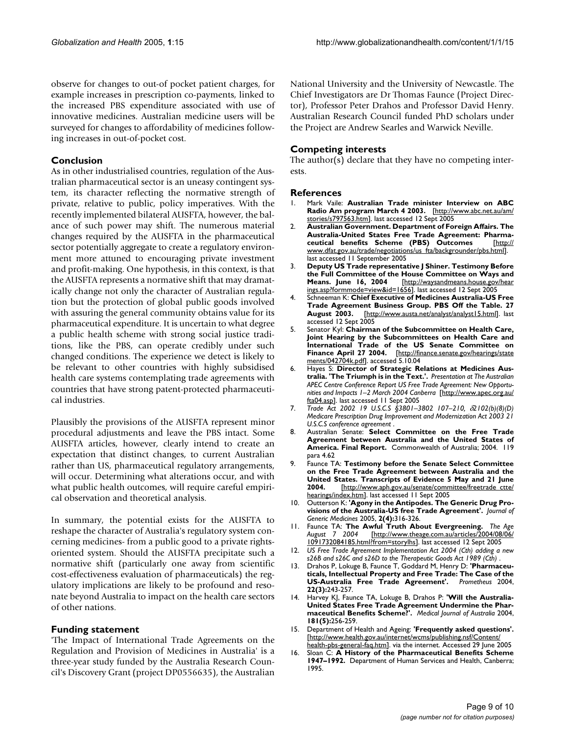observe for changes to out-of pocket patient charges, for example increases in prescription co-payments, linked to the increased PBS expenditure associated with use of innovative medicines. Australian medicine users will be surveyed for changes to affordability of medicines following increases in out-of-pocket cost.

#### **Conclusion**

As in other industrialised countries, regulation of the Australian pharmaceutical sector is an uneasy contingent system, its character reflecting the normative strength of private, relative to public, policy imperatives. With the recently implemented bilateral AUSFTA, however, the balance of such power may shift. The numerous material changes required by the AUSFTA in the pharmaceutical sector potentially aggregate to create a regulatory environment more attuned to encouraging private investment and profit-making. One hypothesis, in this context, is that the AUSFTA represents a normative shift that may dramatically change not only the character of Australian regulation but the protection of global public goods involved with assuring the general community obtains value for its pharmaceutical expenditure. It is uncertain to what degree a public health scheme with strong social justice traditions, like the PBS, can operate credibly under such changed conditions. The experience we detect is likely to be relevant to other countries with highly subsidised health care systems contemplating trade agreements with countries that have strong patent-protected pharmaceutical industries.

Plausibly the provisions of the AUSFTA represent minor procedural adjustments and leave the PBS intact. Some AUSFTA articles, however, clearly intend to create an expectation that distinct changes, to current Australian rather than US, pharmaceutical regulatory arrangements, will occur. Determining what alterations occur, and with what public health outcomes, will require careful empirical observation and theoretical analysis.

In summary, the potential exists for the AUSFTA to reshape the character of Australia's regulatory system concerning medicines- from a public good to a private rightsoriented system. Should the AUSFTA precipitate such a normative shift (particularly one away from scientific cost-effectiveness evaluation of pharmaceuticals) the regulatory implications are likely to be profound and resonate beyond Australia to impact on the health care sectors of other nations.

#### **Funding statement**

'The Impact of International Trade Agreements on the Regulation and Provision of Medicines in Australia' is a three-year study funded by the Australia Research Council's Discovery Grant (project DP0556635), the Australian National University and the University of Newcastle. The Chief Investigators are Dr Thomas Faunce (Project Director), Professor Peter Drahos and Professor David Henry. Australian Research Council funded PhD scholars under the Project are Andrew Searles and Warwick Neville.

#### **Competing interests**

The author(s) declare that they have no competing interests.

#### **References**

- 1. Mark Vaile: **Australian Trade minister Interview on ABC Radio Am program March 4 2003.** [\[http://www.abc.net.au/am/](http://www.abc.net.au/am/stories/s797563.htm) [stories/s797563.htm\]](http://www.abc.net.au/am/stories/s797563.htm). last accessed 12 Sept 2005
- 2. **Australian Government. Department of Foreign Affairs. The Australia-United States Free Trade Agreement: Pharma**ceutical benefits Scheme (PBS) Outcomes [www.dfat.gov.au/trade/negotiations/us\\_fta/backgrounder/pbs.html\]](http://www.dfat.gov.au/trade/negotiations/us_fta/backgrounder/pbs.html). last accessed 11 September 2005
- 3. **Deputy US Trade representative J Shiner. Testimony Before the Full Committee of the House Committee on Ways and Means.** June 16, 2004 [http://waysandmeans.house.gov/hear **Means. June 16, 2004** [[http://waysandmeans.house.gov/hear](http://waysandmeans.house.gov/hearings.asp?formmode=view&id=1656) [ings.asp?formmode=view&id=1656](http://waysandmeans.house.gov/hearings.asp?formmode=view&id=1656)]. last accessed 12 Sept 2005
- 4. Schneeman K: **Chief Executive of Medicines Australia-US Free Trade Agreement Business Group. PBS Off the Table. 27<br>August 2003.** [http://www.austa.net/analyst/analyst15.html]. last **August 2003.** [\[http://www.austa.net/analyst/analyst15.html\]](http://www.austa.net/analyst/analyst15.html). last accessed 12 Sept 2005
- 5. Senator Kyl: **Chairman of the Subcommittee on Health Care, Joint Hearing by the Subcommittees on Health Care and International Trade of the US Senate Committee on Finance April 27 2004.** [[http://finance.senate.gov/hearings/state](http://finance.senate.gov/hearings/statements/042704k.pdf) [ments/042704k.pdf\]](http://finance.senate.gov/hearings/statements/042704k.pdf). accessed 5.10.04
- 6. Hayes S: **Director of Strategic Relations at Medicines Australia. 'The Triumph is in the Text.'.** *Presentation at The Australian APEC Centre Conference Report US Free Trade Agreement: New Opportunities and Impacts 1–2 March 2004 Canberra* [[http://www.apec.org.au/](http://www.apec.org.au/fta04.asp) [fta04.asp](http://www.apec.org.au/fta04.asp)]. last accessed 11 Sept 2005
- 7. *Trade Act 2002 19 U.S.C.S §3801–3802 107–210,* δ*2102(b)(8)(D) Medicare Prescription Drug Improvement and Modernization Act 2003 21 U.S.C.S conference agreement* .
- 8. Australian Senate: **Select Committee on the Free Trade Agreement between Australia and the United States of America. Final Report.** Commonwealth of Australia; 2004. 119 para 4.62
- 9. Faunce TA: **Testimony before the Senate Select Committee on the Free Trade Agreement between Australia and the United States. Transcripts of Evidence 5 May and 21 June 2004.** [\[http://www.aph.gov.au/senate/committee/freetrade\\_ctte/](http://www.aph.gov.au/senate/committee/freetrade_ctte/hearings/index.htm) [hearings/index.htm](http://www.aph.gov.au/senate/committee/freetrade_ctte/hearings/index.htm)]. last accessed 11 Sept 2005
- 10. Outterson K: **'Agony in the Antipodes. The Generic Drug Provisions of the Australia-US free Trade Agreement'.** *Journal of Generic Medicines* 2005, **2(4):**316-326.
- 11. Faunce TA: **The Awful Truth About Evergreening.** *The Age August 7 2004* [[http://www.theage.com.au/articles/2004/08/06/](http://www.theage.com.au/articles/2004/08/06/1091732084185.html?from=storylhs) [1091732084185.html?from=storylhs](http://www.theage.com.au/articles/2004/08/06/1091732084185.html?from=storylhs)]. last accessed 12 Sept 2005
- 12. *US Free Trade Agreement Implementation Act 2004 (Cth) adding a new s26B and s26C and s26D to the Therapeutic Goods Act 1989 (Cth)* .
- 13. Drahos P, Lokuge B, Faunce T, Goddard M, Henry D: **'Pharmaceuticals, Intellectual Property and Free Trade: The Case of the US-Australia Free Trade Agreement'.** *Prometheus* 2004, **22(3):**243-257.
- 14. Harvey KJ, Faunce TA, Lokuge B, Drahos P: **['Will the Australia-](http://www.ncbi.nlm.nih.gov/entrez/query.fcgi?cmd=Retrieve&db=PubMed&dopt=Abstract&list_uids=15347273)[United States Free Trade Agreement Undermine the Phar](http://www.ncbi.nlm.nih.gov/entrez/query.fcgi?cmd=Retrieve&db=PubMed&dopt=Abstract&list_uids=15347273)[maceutical Benefits Scheme?'.](http://www.ncbi.nlm.nih.gov/entrez/query.fcgi?cmd=Retrieve&db=PubMed&dopt=Abstract&list_uids=15347273)** *Medical Journal of Australia* 2004, **181(5):**256-259.
- 15. Department of Health and Ageing: **'Frequently asked questions'.** [[http://www.health.gov.au/internet/wcms/publishing.nsf/Content/](http://www.health.gov.au/internet/wcms/publishing.nsf/Content/health-pbs-general-faq.htm) [health-pbs-general-faq.htm\]](http://www.health.gov.au/internet/wcms/publishing.nsf/Content/health-pbs-general-faq.htm). via the internet. Accessed 29 June 2005
- 16. Sloan C: **A History of the Pharmaceutical Benefits Scheme 1947–1992.** Department of Human Services and Health, Canberra; 1995.